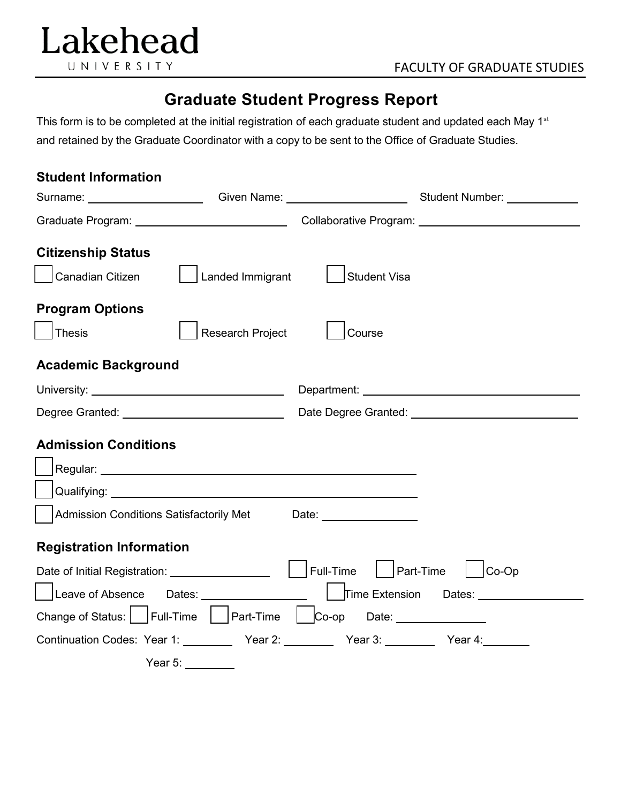

## **Graduate Student Progress Report**

This form is to be completed at the initial registration of each graduate student and updated each May 1<sup>st</sup> and retained by the Graduate Coordinator with a copy to be sent to the Office of Graduate Studies.

| <b>Student Information</b>                                                    |                  |                                                         |                                                                                                                                                                                                                                |
|-------------------------------------------------------------------------------|------------------|---------------------------------------------------------|--------------------------------------------------------------------------------------------------------------------------------------------------------------------------------------------------------------------------------|
|                                                                               |                  |                                                         |                                                                                                                                                                                                                                |
|                                                                               |                  |                                                         | Graduate Program: University Collaborative Program: University Program and Collaborative Program: University P                                                                                                                 |
| <b>Citizenship Status</b>                                                     |                  |                                                         |                                                                                                                                                                                                                                |
| Canadian Citizen                                                              | Landed Immigrant | <b>Student Visa</b>                                     |                                                                                                                                                                                                                                |
| <b>Program Options</b>                                                        |                  |                                                         |                                                                                                                                                                                                                                |
| Thesis                                                                        | Research Project | Course                                                  |                                                                                                                                                                                                                                |
| <b>Academic Background</b>                                                    |                  |                                                         |                                                                                                                                                                                                                                |
|                                                                               |                  |                                                         | Department: New York Changes and Changes and Changes and Changes and Changes and Changes and Changes and Changes and Changes and Changes and Changes and Changes and Changes and Changes and Changes and Changes and Changes a |
|                                                                               |                  |                                                         |                                                                                                                                                                                                                                |
| <b>Admission Conditions</b>                                                   |                  |                                                         |                                                                                                                                                                                                                                |
|                                                                               |                  |                                                         |                                                                                                                                                                                                                                |
|                                                                               |                  | Admission Conditions Satisfactorily Met Date: 1988.1991 |                                                                                                                                                                                                                                |
| <b>Registration Information</b>                                               |                  |                                                         |                                                                                                                                                                                                                                |
| Date of Initial Registration: ___________________                             |                  | Full-Time<br>$\vert$   Part-Time                        | $\left  \right $ $ $ Co-Op                                                                                                                                                                                                     |
|                                                                               |                  |                                                         |                                                                                                                                                                                                                                |
| Change of Status: $\Box$ Full-Time $\Box$ Part-Time $\Box$ Co-op Date: $\Box$ |                  |                                                         |                                                                                                                                                                                                                                |
| Continuation Codes: Year 1: Vear 2: Year 2: Year 3: Year 3: Year 4:           |                  |                                                         |                                                                                                                                                                                                                                |
| Year 5:                                                                       |                  |                                                         |                                                                                                                                                                                                                                |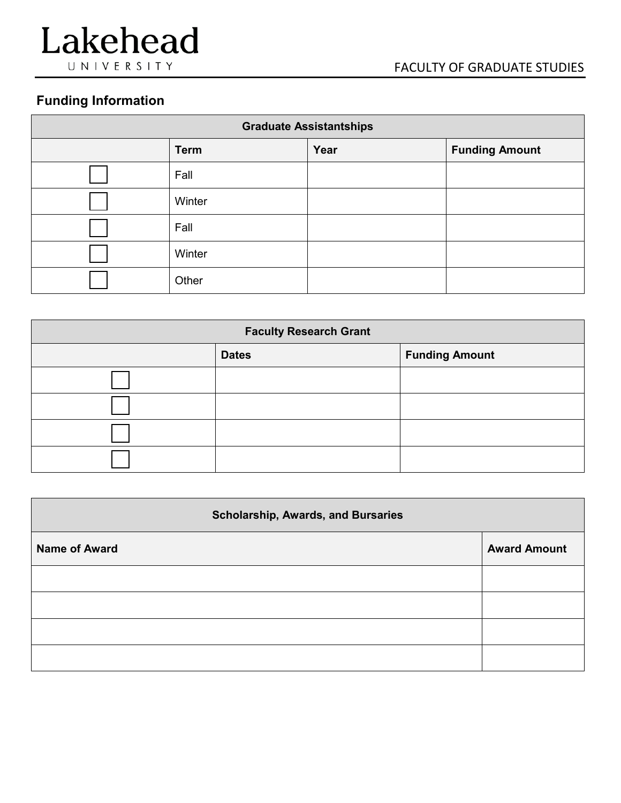

## **Funding Information**

| <b>Graduate Assistantships</b> |             |      |                       |
|--------------------------------|-------------|------|-----------------------|
|                                | <b>Term</b> | Year | <b>Funding Amount</b> |
|                                | Fall        |      |                       |
|                                | Winter      |      |                       |
|                                | Fall        |      |                       |
|                                | Winter      |      |                       |
|                                | Other       |      |                       |

| <b>Faculty Research Grant</b> |              |                       |  |  |
|-------------------------------|--------------|-----------------------|--|--|
|                               | <b>Dates</b> | <b>Funding Amount</b> |  |  |
|                               |              |                       |  |  |
|                               |              |                       |  |  |
|                               |              |                       |  |  |
|                               |              |                       |  |  |

| <b>Scholarship, Awards, and Bursaries</b> |                     |  |
|-------------------------------------------|---------------------|--|
| <b>Name of Award</b>                      | <b>Award Amount</b> |  |
|                                           |                     |  |
|                                           |                     |  |
|                                           |                     |  |
|                                           |                     |  |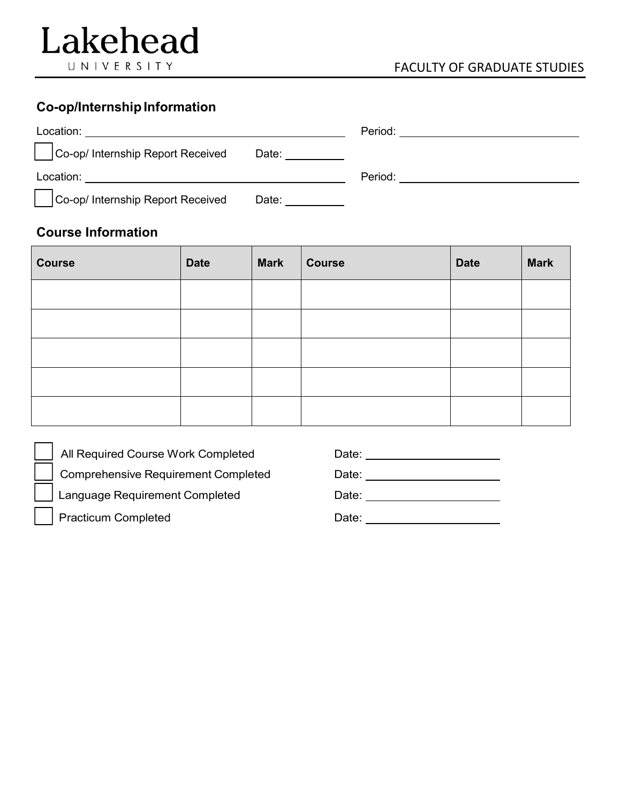## **Co-op/Internship Information**

| Location:                         |                  | Period: |
|-----------------------------------|------------------|---------|
| Co-op/ Internship Report Received | Date: __________ |         |
| Location:                         |                  | Period: |
| Co-op/ Internship Report Received | Date:            |         |

## **Course Information**

 $\overline{a}$ 

 $\overline{a}$ 

 $\overline{a}$ 

| <b>Course</b> | <b>Date</b> | <b>Mark</b> | <b>Course</b> | <b>Date</b> | <b>Mark</b> |
|---------------|-------------|-------------|---------------|-------------|-------------|
|               |             |             |               |             |             |
|               |             |             |               |             |             |
|               |             |             |               |             |             |
|               |             |             |               |             |             |
|               |             |             |               |             |             |

| All Required Course Work Completed  | Date: |
|-------------------------------------|-------|
| Comprehensive Requirement Completed | Date: |
| Language Requirement Completed      | Date: |
| Practicum Completed                 | Date: |
|                                     |       |